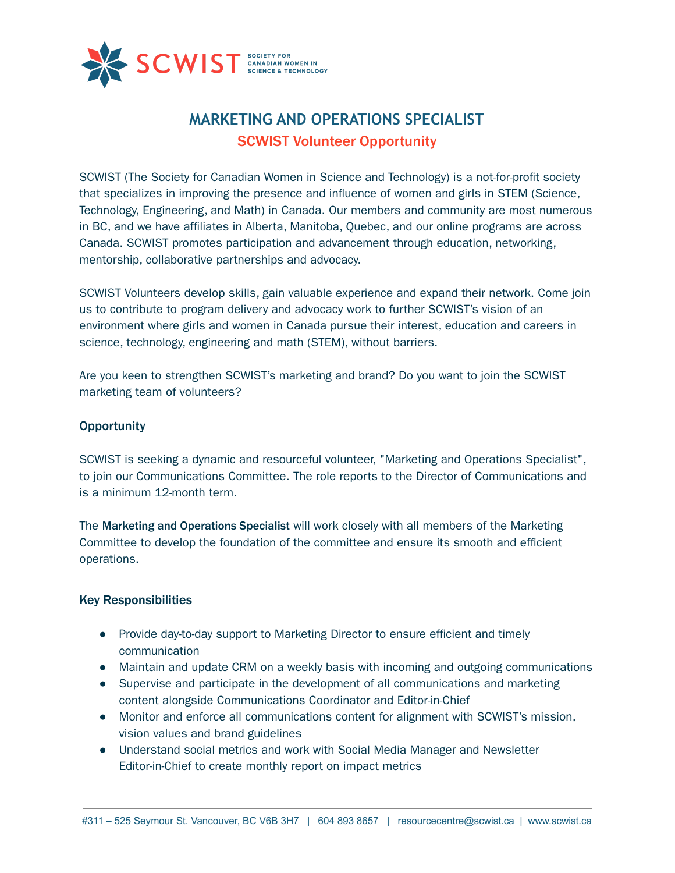

# **MARKETING AND OPERATIONS SPECIALIST** SCWIST Volunteer Opportunity

SCWIST (The Society for Canadian Women in Science and Technology) is a not-for-profit society that specializes in improving the presence and influence of women and girls in STEM (Science, Technology, Engineering, and Math) in Canada. Our members and community are most numerous in BC, and we have affiliates in Alberta, Manitoba, Quebec, and our online programs are across Canada. SCWIST promotes participation and advancement through education, networking, mentorship, collaborative partnerships and advocacy.

SCWIST Volunteers develop skills, gain valuable experience and expand their network. Come join us to contribute to program delivery and advocacy work to further SCWIST's vision of an environment where girls and women in Canada pursue their interest, education and careers in science, technology, engineering and math (STEM), without barriers.

Are you keen to strengthen SCWIST's marketing and brand? Do you want to join the SCWIST marketing team of volunteers?

## **Opportunity**

SCWIST is seeking a dynamic and resourceful volunteer, "Marketing and Operations Specialist", to join our Communications Committee. The role reports to the Director of Communications and is a minimum 12-month term.

The Marketing and Operations Specialist will work closely with all members of the Marketing Committee to develop the foundation of the committee and ensure its smooth and efficient operations.

## Key Responsibilities

- Provide day-to-day support to Marketing Director to ensure efficient and timely communication
- Maintain and update CRM on a weekly basis with incoming and outgoing communications
- Supervise and participate in the development of all communications and marketing content alongside Communications Coordinator and Editor-in-Chief
- Monitor and enforce all communications content for alignment with SCWIST's mission, vision values and brand guidelines
- Understand social metrics and work with Social Media Manager and Newsletter Editor-in-Chief to create monthly report on impact metrics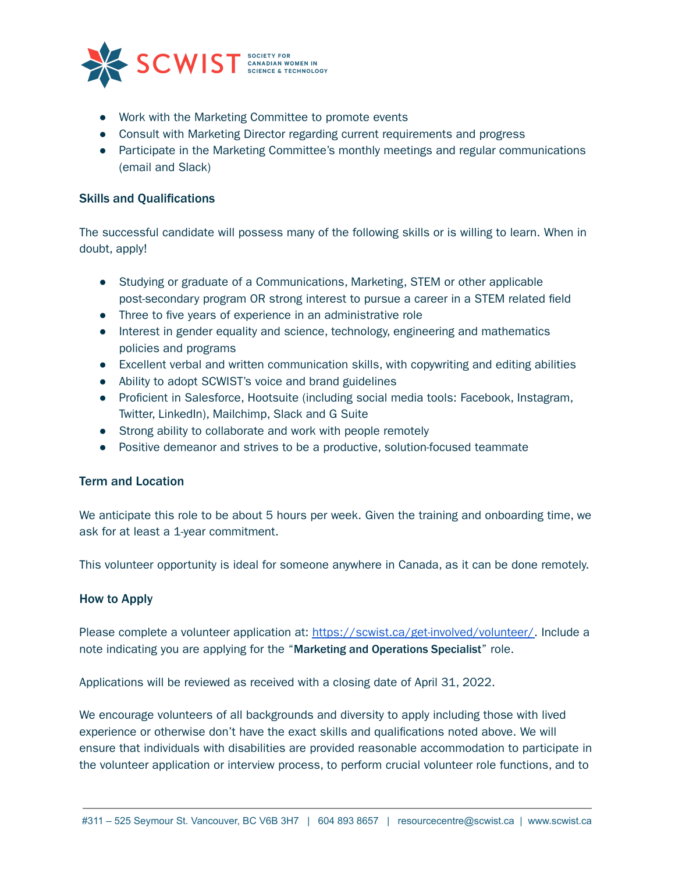

- Work with the Marketing Committee to promote events
- Consult with Marketing Director regarding current requirements and progress
- Participate in the Marketing Committee's monthly meetings and regular communications (email and Slack)

## Skills and Qualifications

The successful candidate will possess many of the following skills or is willing to learn. When in doubt, apply!

- Studying or graduate of a Communications, Marketing, STEM or other applicable post-secondary program OR strong interest to pursue a career in a STEM related field
- Three to five years of experience in an administrative role
- Interest in gender equality and science, technology, engineering and mathematics policies and programs
- Excellent verbal and written communication skills, with copywriting and editing abilities
- Ability to adopt SCWIST's voice and brand guidelines
- Proficient in Salesforce, Hootsuite (including social media tools: Facebook, Instagram, Twitter, LinkedIn), Mailchimp, Slack and G Suite
- Strong ability to collaborate and work with people remotely
- Positive demeanor and strives to be a productive, solution-focused teammate

## Term and Location

We anticipate this role to be about 5 hours per week. Given the training and onboarding time, we ask for at least a 1-year commitment.

This volunteer opportunity is ideal for someone anywhere in Canada, as it can be done remotely.

## How to Apply

Please complete a volunteer application at: [https://scwist.ca/get-involved/volunteer/.](https://scwist.ca/get-involved/volunteer/) Include a note indicating you are applying for the "Marketing and Operations Specialist" role.

Applications will be reviewed as received with a closing date of April 31, 2022.

We encourage volunteers of all backgrounds and diversity to apply including those with lived experience or otherwise don't have the exact skills and qualifications noted above. We will ensure that individuals with disabilities are provided reasonable accommodation to participate in the volunteer application or interview process, to perform crucial volunteer role functions, and to